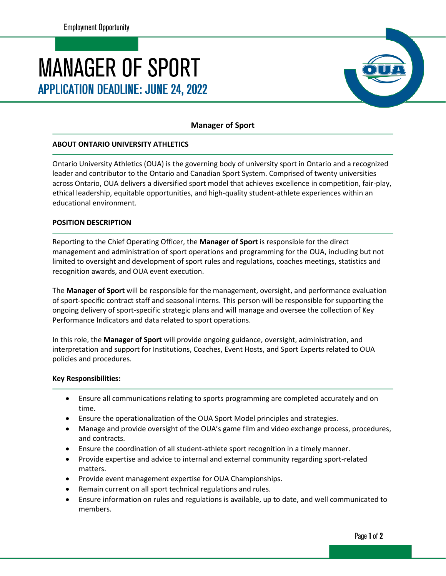# **MANAGER OF SPORT APPLICATION DEADLINE: JUNE 24, 2022**



## **Manager of Sport**

### **ABOUT ONTARIO UNIVERSITY ATHLETICS**

Ontario University Athletics (OUA) is the governing body of university sport in Ontario and a recognized leader and contributor to the Ontario and Canadian Sport System. Comprised of twenty universities across Ontario, OUA delivers a diversified sport model that achieves excellence in competition, fair-play, ethical leadership, equitable opportunities, and high-quality student-athlete experiences within an educational environment.

#### **POSITION DESCRIPTION**

Reporting to the Chief Operating Officer, the **Manager of Sport** is responsible for the direct management and administration of sport operations and programming for the OUA, including but not limited to oversight and development of sport rules and regulations, coaches meetings, statistics and recognition awards, and OUA event execution.

The **Manager of Sport** will be responsible for the management, oversight, and performance evaluation of sport-specific contract staff and seasonal interns. This person will be responsible for supporting the ongoing delivery of sport-specific strategic plans and will manage and oversee the collection of Key Performance Indicators and data related to sport operations.

In this role, the **Manager of Sport** will provide ongoing guidance, oversight, administration, and interpretation and support for Institutions, Coaches, Event Hosts, and Sport Experts related to OUA policies and procedures.

#### **Key Responsibilities:**

- Ensure all communications relating to sports programming are completed accurately and on time.
- Ensure the operationalization of the OUA Sport Model principles and strategies.
- Manage and provide oversight of the OUA's game film and video exchange process, procedures, and contracts.
- Ensure the coordination of all student-athlete sport recognition in a timely manner.
- Provide expertise and advice to internal and external community regarding sport-related matters.
- Provide event management expertise for OUA Championships.
- Remain current on all sport technical regulations and rules.
- Ensure information on rules and regulations is available, up to date, and well communicated to members.